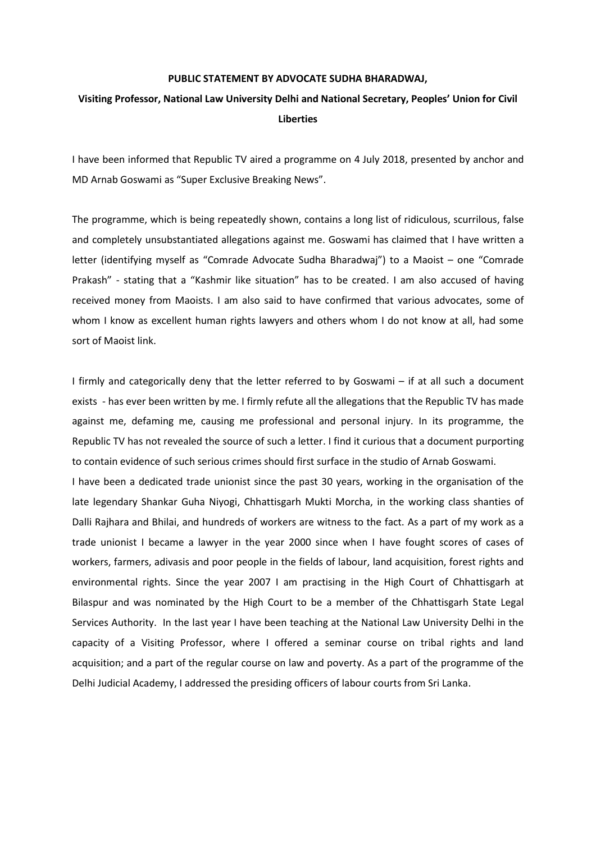## **PUBLIC STATEMENT BY ADVOCATE SUDHA BHARADWAJ,**

## **Visiting Professor, National Law University Delhi and National Secretary, Peoples' Union for Civil Liberties**

I have been informed that Republic TV aired a programme on 4 July 2018, presented by anchor and MD Arnab Goswami as "Super Exclusive Breaking News".

The programme, which is being repeatedly shown, contains a long list of ridiculous, scurrilous, false and completely unsubstantiated allegations against me. Goswami has claimed that I have written a letter (identifying myself as "Comrade Advocate Sudha Bharadwaj") to a Maoist – one "Comrade Prakash" - stating that a "Kashmir like situation" has to be created. I am also accused of having received money from Maoists. I am also said to have confirmed that various advocates, some of whom I know as excellent human rights lawyers and others whom I do not know at all, had some sort of Maoist link.

I firmly and categorically deny that the letter referred to by Goswami – if at all such a document exists - has ever been written by me. I firmly refute all the allegations that the Republic TV has made against me, defaming me, causing me professional and personal injury. In its programme, the Republic TV has not revealed the source of such a letter. I find it curious that a document purporting to contain evidence of such serious crimes should first surface in the studio of Arnab Goswami.

I have been a dedicated trade unionist since the past 30 years, working in the organisation of the late legendary Shankar Guha Niyogi, Chhattisgarh Mukti Morcha, in the working class shanties of Dalli Rajhara and Bhilai, and hundreds of workers are witness to the fact. As a part of my work as a trade unionist I became a lawyer in the year 2000 since when I have fought scores of cases of workers, farmers, adivasis and poor people in the fields of labour, land acquisition, forest rights and environmental rights. Since the year 2007 I am practising in the High Court of Chhattisgarh at Bilaspur and was nominated by the High Court to be a member of the Chhattisgarh State Legal Services Authority. In the last year I have been teaching at the National Law University Delhi in the capacity of a Visiting Professor, where I offered a seminar course on tribal rights and land acquisition; and a part of the regular course on law and poverty. As a part of the programme of the Delhi Judicial Academy, I addressed the presiding officers of labour courts from Sri Lanka.